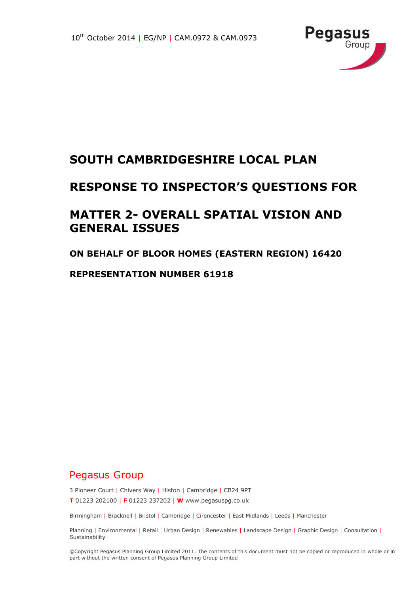

## **SOUTH CAMBRIDGESHIRE LOCAL PLAN**

## **RESPONSE TO INSPECTOR'S QUESTIONS FOR**

## **MATTER 2- OVERALL SPATIAL VISION AND GENERAL ISSUES**

#### **ON BEHALF OF BLOOR HOMES (EASTERN REGION) 16420**

#### **REPRESENTATION NUMBER 61918**

### Pegasus Group

3 Pioneer Court | Chivers Way | Histon | Cambridge | CB24 9PT **T** 01223 202100 | **F** 01223 237202 | **W** www.pegasuspg.co.uk

Birmingham | Bracknell | Bristol | Cambridge | Cirencester | East Midlands | Leeds | Manchester

Planning | Environmental | Retail | Urban Design | Renewables | Landscape Design | Graphic Design | Consultation | **Sustainability** 

©Copyright Pegasus Planning Group Limited 2011. The contents of this document must not be copied or reproduced in whole or in part without the written consent of Pegasus Planning Group Limited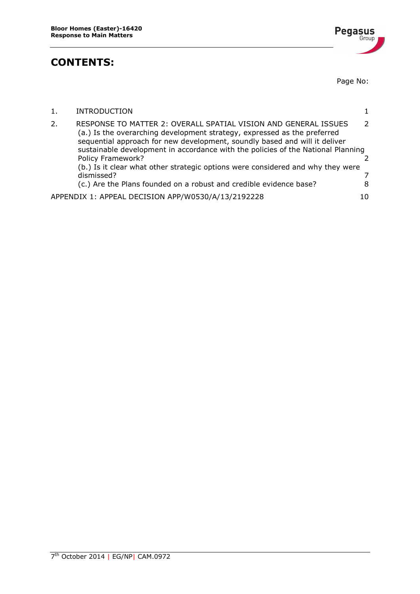### **CONTENTS:**



Page No:

|    | <b>INTRODUCTION</b>                                                                                                                                                                                                                                                                                           |                |
|----|---------------------------------------------------------------------------------------------------------------------------------------------------------------------------------------------------------------------------------------------------------------------------------------------------------------|----------------|
| 2. | RESPONSE TO MATTER 2: OVERALL SPATIAL VISION AND GENERAL ISSUES<br>(a.) Is the overarching development strategy, expressed as the preferred<br>sequential approach for new development, soundly based and will it deliver<br>sustainable development in accordance with the policies of the National Planning | $\overline{2}$ |
|    | <b>Policy Framework?</b>                                                                                                                                                                                                                                                                                      |                |
|    | (b.) Is it clear what other strategic options were considered and why they were                                                                                                                                                                                                                               |                |
|    | dismissed?                                                                                                                                                                                                                                                                                                    |                |
|    | (c.) Are the Plans founded on a robust and credible evidence base?                                                                                                                                                                                                                                            | 8              |
|    | APPENDIX 1: APPEAL DECISION APP/W0530/A/13/2192228                                                                                                                                                                                                                                                            | 10             |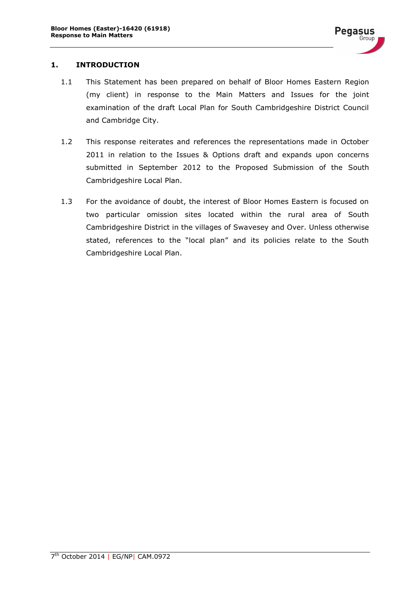#### <span id="page-2-0"></span>**1. INTRODUCTION**

- 1.1 This Statement has been prepared on behalf of Bloor Homes Eastern Region (my client) in response to the Main Matters and Issues for the joint examination of the draft Local Plan for South Cambridgeshire District Council and Cambridge City.
- 1.2 This response reiterates and references the representations made in October 2011 in relation to the Issues & Options draft and expands upon concerns submitted in September 2012 to the Proposed Submission of the South Cambridgeshire Local Plan.
- 1.3 For the avoidance of doubt, the interest of Bloor Homes Eastern is focused on two particular omission sites located within the rural area of South Cambridgeshire District in the villages of Swavesey and Over. Unless otherwise stated, references to the "local plan" and its policies relate to the South Cambridgeshire Local Plan.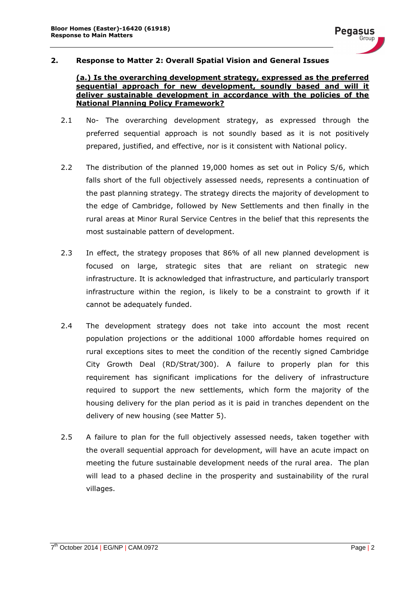

#### <span id="page-3-1"></span><span id="page-3-0"></span>**2. Response to Matter 2: Overall Spatial Vision and General Issues**

#### **(a.) Is the overarching development strategy, expressed as the preferred sequential approach for new development, soundly based and will it deliver sustainable development in accordance with the policies of the National Planning Policy Framework?**

- 2.1 No- The overarching development strategy, as expressed through the preferred sequential approach is not soundly based as it is not positively prepared, justified, and effective, nor is it consistent with National policy.
- 2.2 The distribution of the planned 19,000 homes as set out in Policy S/6, which falls short of the full objectively assessed needs, represents a continuation of the past planning strategy. The strategy directs the majority of development to the edge of Cambridge, followed by New Settlements and then finally in the rural areas at Minor Rural Service Centres in the belief that this represents the most sustainable pattern of development.
- 2.3 In effect, the strategy proposes that 86% of all new planned development is focused on large, strategic sites that are reliant on strategic new infrastructure. It is acknowledged that infrastructure, and particularly transport infrastructure within the region, is likely to be a constraint to growth if it cannot be adequately funded.
- 2.4 The development strategy does not take into account the most recent population projections or the additional 1000 affordable homes required on rural exceptions sites to meet the condition of the recently signed Cambridge City Growth Deal (RD/Strat/300). A failure to properly plan for this requirement has significant implications for the delivery of infrastructure required to support the new settlements, which form the majority of the housing delivery for the plan period as it is paid in tranches dependent on the delivery of new housing (see Matter 5).
- 2.5 A failure to plan for the full objectively assessed needs, taken together with the overall sequential approach for development, will have an acute impact on meeting the future sustainable development needs of the rural area. The plan will lead to a phased decline in the prosperity and sustainability of the rural villages.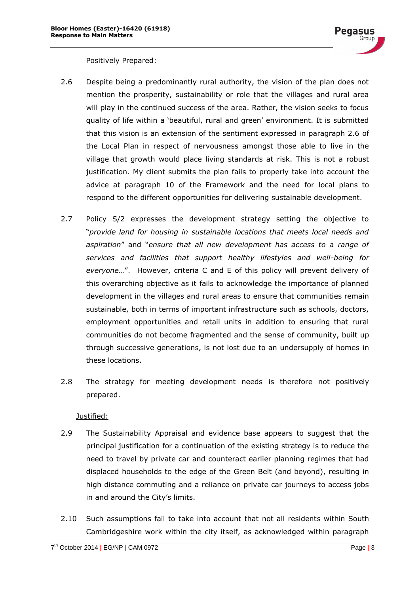#### Positively Prepared:

- 2.6 Despite being a predominantly rural authority, the vision of the plan does not mention the prosperity, sustainability or role that the villages and rural area will play in the continued success of the area. Rather, the vision seeks to focus quality of life within a 'beautiful, rural and green' environment. It is submitted that this vision is an extension of the sentiment expressed in paragraph 2.6 of the Local Plan in respect of nervousness amongst those able to live in the village that growth would place living standards at risk. This is not a robust justification. My client submits the plan fails to properly take into account the advice at paragraph 10 of the Framework and the need for local plans to respond to the different opportunities for delivering sustainable development.
- 2.7 Policy S/2 expresses the development strategy setting the objective to "*provide land for housing in sustainable locations that meets local needs and aspiration*" and "*ensure that all new development has access to a range of services and facilities that support healthy lifestyles and well-being for everyone…*". However, criteria C and E of this policy will prevent delivery of this overarching objective as it fails to acknowledge the importance of planned development in the villages and rural areas to ensure that communities remain sustainable, both in terms of important infrastructure such as schools, doctors, employment opportunities and retail units in addition to ensuring that rural communities do not become fragmented and the sense of community, built up through successive generations, is not lost due to an undersupply of homes in these locations.
- 2.8 The strategy for meeting development needs is therefore not positively prepared.

#### Justified:

- 2.9 The Sustainability Appraisal and evidence base appears to suggest that the principal justification for a continuation of the existing strategy is to reduce the need to travel by private car and counteract earlier planning regimes that had displaced households to the edge of the Green Belt (and beyond), resulting in high distance commuting and a reliance on private car journeys to access jobs in and around the City's limits.
- 2.10 Such assumptions fail to take into account that not all residents within South Cambridgeshire work within the city itself, as acknowledged within paragraph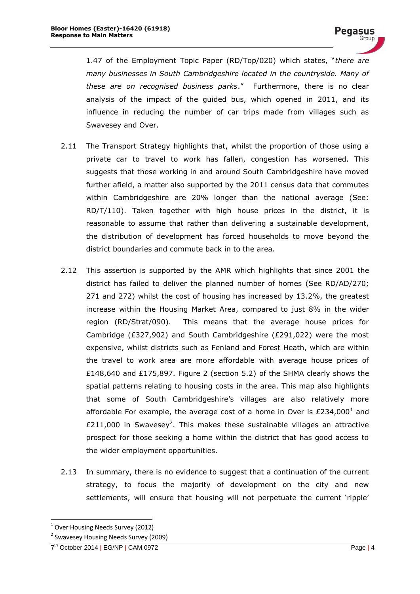1.47 of the Employment Topic Paper (RD/Top/020) which states, "*there are many businesses in South Cambridgeshire located in the countryside. Many of these are on recognised business parks*." Furthermore, there is no clear analysis of the impact of the guided bus, which opened in 2011, and its influence in reducing the number of car trips made from villages such as Swavesey and Over.

- 2.11 The Transport Strategy highlights that, whilst the proportion of those using a private car to travel to work has fallen, congestion has worsened. This suggests that those working in and around South Cambridgeshire have moved further afield, a matter also supported by the 2011 census data that commutes within Cambridgeshire are 20% longer than the national average (See: RD/T/110). Taken together with high house prices in the district, it is reasonable to assume that rather than delivering a sustainable development, the distribution of development has forced households to move beyond the district boundaries and commute back in to the area.
- 2.12 This assertion is supported by the AMR which highlights that since 2001 the district has failed to deliver the planned number of homes (See RD/AD/270; 271 and 272) whilst the cost of housing has increased by 13.2%, the greatest increase within the Housing Market Area, compared to just 8% in the wider region (RD/Strat/090). This means that the average house prices for Cambridge (£327,902) and South Cambridgeshire (£291,022) were the most expensive, whilst districts such as Fenland and Forest Heath, which are within the travel to work area are more affordable with average house prices of £148,640 and £175,897. Figure 2 (section 5.2) of the SHMA clearly shows the spatial patterns relating to housing costs in the area. This map also highlights that some of South Cambridgeshire's villages are also relatively more affordable For example, the average cost of a home in Over is £234,000<sup>1</sup> and £211,000 in Swavesey<sup>2</sup>. This makes these sustainable villages an attractive prospect for those seeking a home within the district that has good access to the wider employment opportunities.
- 2.13 In summary, there is no evidence to suggest that a continuation of the current strategy, to focus the majority of development on the city and new settlements, will ensure that housing will not perpetuate the current 'ripple'

-

<sup>&</sup>lt;sup>1</sup> Over Housing Needs Survey (2012)

<sup>&</sup>lt;sup>2</sup> Swavesey Housing Needs Survey (2009)

<sup>7&</sup>lt;sup>th</sup> October 2014 | EG/NP | CAM.0972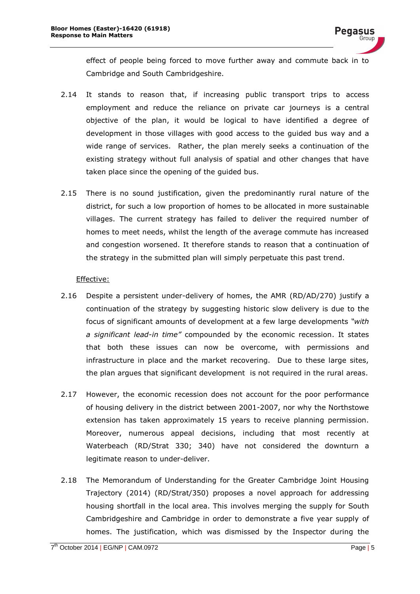effect of people being forced to move further away and commute back in to Cambridge and South Cambridgeshire.

- 2.14 It stands to reason that, if increasing public transport trips to access employment and reduce the reliance on private car journeys is a central objective of the plan, it would be logical to have identified a degree of development in those villages with good access to the guided bus way and a wide range of services. Rather, the plan merely seeks a continuation of the existing strategy without full analysis of spatial and other changes that have taken place since the opening of the guided bus.
- 2.15 There is no sound justification, given the predominantly rural nature of the district, for such a low proportion of homes to be allocated in more sustainable villages. The current strategy has failed to deliver the required number of homes to meet needs, whilst the length of the average commute has increased and congestion worsened. It therefore stands to reason that a continuation of the strategy in the submitted plan will simply perpetuate this past trend.

#### Effective:

- 2.16 Despite a persistent under-delivery of homes, the AMR (RD/AD/270) justify a continuation of the strategy by suggesting historic slow delivery is due to the focus of significant amounts of development at a few large developments *"with a significant lead-in time"* compounded by the economic recession. It states that both these issues can now be overcome, with permissions and infrastructure in place and the market recovering. Due to these large sites, the plan argues that significant development is not required in the rural areas.
- 2.17 However, the economic recession does not account for the poor performance of housing delivery in the district between 2001-2007, nor why the Northstowe extension has taken approximately 15 years to receive planning permission. Moreover, numerous appeal decisions, including that most recently at Waterbeach (RD/Strat 330; 340) have not considered the downturn a legitimate reason to under-deliver.
- 2.18 The Memorandum of Understanding for the Greater Cambridge Joint Housing Trajectory (2014) (RD/Strat/350) proposes a novel approach for addressing housing shortfall in the local area. This involves merging the supply for South Cambridgeshire and Cambridge in order to demonstrate a five year supply of homes. The justification, which was dismissed by the Inspector during the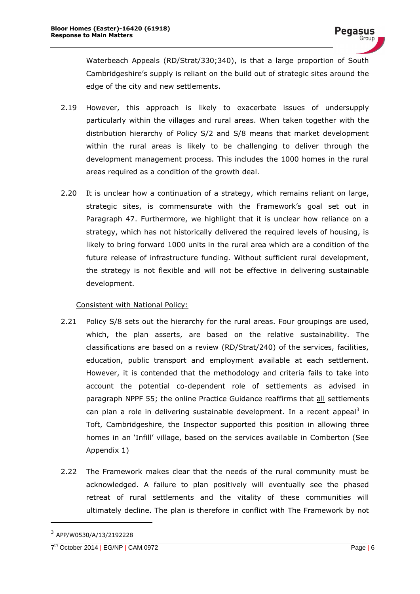Waterbeach Appeals (RD/Strat/330;340), is that a large proportion of South Cambridgeshire's supply is reliant on the build out of strategic sites around the edge of the city and new settlements.

- 2.19 However, this approach is likely to exacerbate issues of undersupply particularly within the villages and rural areas. When taken together with the distribution hierarchy of Policy S/2 and S/8 means that market development within the rural areas is likely to be challenging to deliver through the development management process. This includes the 1000 homes in the rural areas required as a condition of the growth deal.
- 2.20 It is unclear how a continuation of a strategy, which remains reliant on large, strategic sites, is commensurate with the Framework's goal set out in Paragraph 47. Furthermore, we highlight that it is unclear how reliance on a strategy, which has not historically delivered the required levels of housing, is likely to bring forward 1000 units in the rural area which are a condition of the future release of infrastructure funding. Without sufficient rural development, the strategy is not flexible and will not be effective in delivering sustainable development.

#### Consistent with National Policy:

- 2.21 Policy S/8 sets out the hierarchy for the rural areas. Four groupings are used, which, the plan asserts, are based on the relative sustainability. The classifications are based on a review (RD/Strat/240) of the services, facilities, education, public transport and employment available at each settlement. However, it is contended that the methodology and criteria fails to take into account the potential co-dependent role of settlements as advised in paragraph NPPF 55; the online Practice Guidance reaffirms that all settlements can plan a role in delivering sustainable development. In a recent appeal<sup>3</sup> in Toft, Cambridgeshire, the Inspector supported this position in allowing three homes in an 'Infill' village, based on the services available in Comberton (See Appendix 1)
- 2.22 The Framework makes clear that the needs of the rural community must be acknowledged. A failure to plan positively will eventually see the phased retreat of rural settlements and the vitality of these communities will ultimately decline. The plan is therefore in conflict with The Framework by not

-

<sup>3</sup> APP/W0530/A/13/2192228

<sup>7&</sup>lt;sup>th</sup> October 2014 | EG/NP | CAM.0972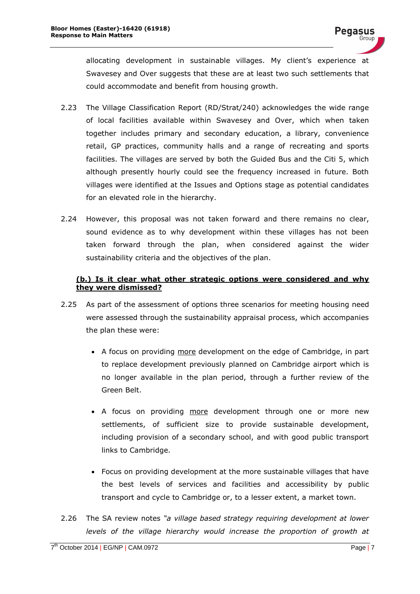allocating development in sustainable villages. My client's experience at Swavesey and Over suggests that these are at least two such settlements that could accommodate and benefit from housing growth.

- 2.23 The Village Classification Report (RD/Strat/240) acknowledges the wide range of local facilities available within Swavesey and Over, which when taken together includes primary and secondary education, a library, convenience retail, GP practices, community halls and a range of recreating and sports facilities. The villages are served by both the Guided Bus and the Citi 5, which although presently hourly could see the frequency increased in future. Both villages were identified at the Issues and Options stage as potential candidates for an elevated role in the hierarchy.
- 2.24 However, this proposal was not taken forward and there remains no clear, sound evidence as to why development within these villages has not been taken forward through the plan, when considered against the wider sustainability criteria and the objectives of the plan.

#### <span id="page-8-0"></span>**(b.) Is it clear what other strategic options were considered and why they were dismissed?**

- 2.25 As part of the assessment of options three scenarios for meeting housing need were assessed through the sustainability appraisal process, which accompanies the plan these were:
	- A focus on providing more development on the edge of Cambridge, in part to replace development previously planned on Cambridge airport which is no longer available in the plan period, through a further review of the Green Belt.
	- A focus on providing more development through one or more new settlements, of sufficient size to provide sustainable development, including provision of a secondary school, and with good public transport links to Cambridge.
	- Focus on providing development at the more sustainable villages that have the best levels of services and facilities and accessibility by public transport and cycle to Cambridge or, to a lesser extent, a market town.
- 2.26 The SA review notes *"a village based strategy requiring development at lower levels of the village hierarchy would increase the proportion of growth at*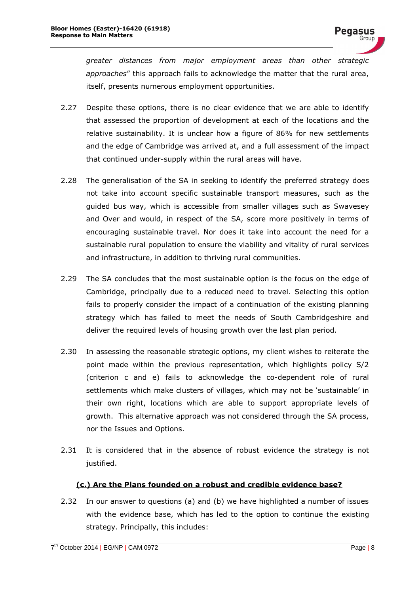*greater distances from major employment areas than other strategic approaches*" this approach fails to acknowledge the matter that the rural area, itself, presents numerous employment opportunities.

- 2.27 Despite these options, there is no clear evidence that we are able to identify that assessed the proportion of development at each of the locations and the relative sustainability. It is unclear how a figure of 86% for new settlements and the edge of Cambridge was arrived at, and a full assessment of the impact that continued under-supply within the rural areas will have.
- 2.28 The generalisation of the SA in seeking to identify the preferred strategy does not take into account specific sustainable transport measures, such as the guided bus way, which is accessible from smaller villages such as Swavesey and Over and would, in respect of the SA, score more positively in terms of encouraging sustainable travel. Nor does it take into account the need for a sustainable rural population to ensure the viability and vitality of rural services and infrastructure, in addition to thriving rural communities.
- 2.29 The SA concludes that the most sustainable option is the focus on the edge of Cambridge, principally due to a reduced need to travel. Selecting this option fails to properly consider the impact of a continuation of the existing planning strategy which has failed to meet the needs of South Cambridgeshire and deliver the required levels of housing growth over the last plan period.
- 2.30 In assessing the reasonable strategic options, my client wishes to reiterate the point made within the previous representation, which highlights policy S/2 (criterion c and e) fails to acknowledge the co-dependent role of rural settlements which make clusters of villages, which may not be 'sustainable' in their own right, locations which are able to support appropriate levels of growth. This alternative approach was not considered through the SA process, nor the Issues and Options.
- 2.31 It is considered that in the absence of robust evidence the strategy is not justified.

#### **(c.) Are the Plans founded on a robust and credible evidence base?**

<span id="page-9-0"></span>2.32 In our answer to questions (a) and (b) we have highlighted a number of issues with the evidence base, which has led to the option to continue the existing strategy. Principally, this includes: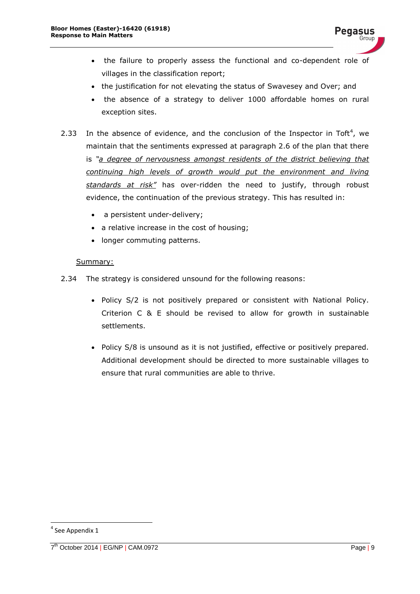- the failure to properly assess the functional and co-dependent role of villages in the classification report;
- the justification for not elevating the status of Swavesey and Over; and
- the absence of a strategy to deliver 1000 affordable homes on rural exception sites.
- 2.33 In the absence of evidence, and the conclusion of the Inspector in Toft<sup>4</sup>, we maintain that the sentiments expressed at paragraph 2.6 of the plan that there is *"a degree of nervousness amongst residents of the district believing that continuing high levels of growth would put the environment and living standards at risk"* has over-ridden the need to justify, through robust evidence, the continuation of the previous strategy. This has resulted in:
	- a persistent under-delivery;
	- a relative increase in the cost of housing;
	- longer commuting patterns.

#### Summary:

- 2.34 The strategy is considered unsound for the following reasons:
	- Policy S/2 is not positively prepared or consistent with National Policy. Criterion C & E should be revised to allow for growth in sustainable settlements.
	- Policy S/8 is unsound as it is not justified, effective or positively prepared. Additional development should be directed to more sustainable villages to ensure that rural communities are able to thrive.

-

<sup>4</sup> See Appendix 1

<sup>7&</sup>lt;sup>th</sup> October 2014 | EG/NP | CAM.0972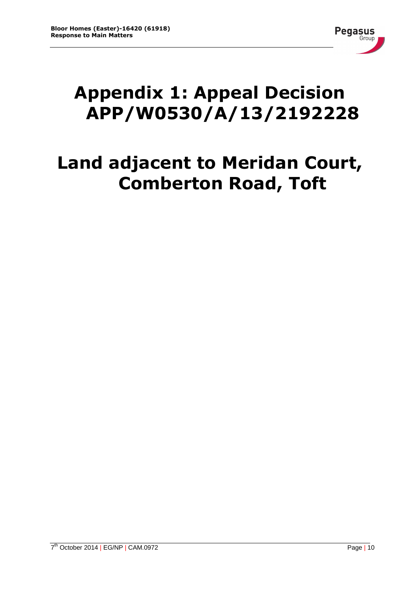

# <span id="page-11-0"></span>**Appendix 1: Appeal Decision APP/W0530/A/13/2192228**

## **Land adjacent to Meridan Court, Comberton Road, Toft**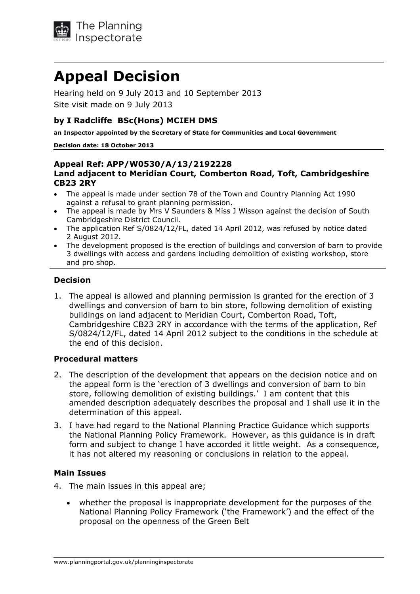

## **Appeal Decision**

Hearing held on 9 July 2013 and 10 September 2013 Site visit made on 9 July 2013

#### **by I Radcliffe BSc(Hons) MCIEH DMS**

**an Inspector appointed by the Secretary of State for Communities and Local Government** 

**Decision date: 18 October 2013** 

#### **Appeal Ref: APP/W0530/A/13/2192228 Land adjacent to Meridian Court, Comberton Road, Toft, Cambridgeshire CB23 2RY**

- The appeal is made under section 78 of the Town and Country Planning Act 1990 against a refusal to grant planning permission.
- The appeal is made by Mrs V Saunders & Miss J Wisson against the decision of South Cambridgeshire District Council.
- The application Ref S/0824/12/FL, dated 14 April 2012, was refused by notice dated 2 August 2012.
- The development proposed is the erection of buildings and conversion of barn to provide 3 dwellings with access and gardens including demolition of existing workshop, store and pro shop.

#### **Decision**

1. The appeal is allowed and planning permission is granted for the erection of 3 dwellings and conversion of barn to bin store, following demolition of existing buildings on land adjacent to Meridian Court, Comberton Road, Toft, Cambridgeshire CB23 2RY in accordance with the terms of the application, Ref S/0824/12/FL, dated 14 April 2012 subject to the conditions in the schedule at the end of this decision.

#### **Procedural matters**

- 2. The description of the development that appears on the decision notice and on the appeal form is the 'erection of 3 dwellings and conversion of barn to bin store, following demolition of existing buildings.' I am content that this amended description adequately describes the proposal and I shall use it in the determination of this appeal.
- 3. I have had regard to the National Planning Practice Guidance which supports the National Planning Policy Framework. However, as this guidance is in draft form and subject to change I have accorded it little weight. As a consequence, it has not altered my reasoning or conclusions in relation to the appeal.

#### **Main Issues**

- 4. The main issues in this appeal are;
	- whether the proposal is inappropriate development for the purposes of the National Planning Policy Framework ('the Framework') and the effect of the proposal on the openness of the Green Belt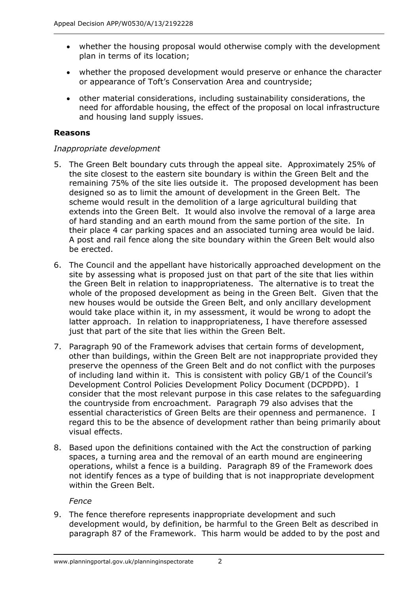- whether the housing proposal would otherwise comply with the development plan in terms of its location;
- whether the proposed development would preserve or enhance the character or appearance of Toft's Conservation Area and countryside;
- other material considerations, including sustainability considerations, the need for affordable housing, the effect of the proposal on local infrastructure and housing land supply issues.

#### **Reasons**

#### *Inappropriate development*

- 5. The Green Belt boundary cuts through the appeal site. Approximately 25% of the site closest to the eastern site boundary is within the Green Belt and the remaining 75% of the site lies outside it. The proposed development has been designed so as to limit the amount of development in the Green Belt. The scheme would result in the demolition of a large agricultural building that extends into the Green Belt. It would also involve the removal of a large area of hard standing and an earth mound from the same portion of the site. In their place 4 car parking spaces and an associated turning area would be laid. A post and rail fence along the site boundary within the Green Belt would also be erected.
- 6. The Council and the appellant have historically approached development on the site by assessing what is proposed just on that part of the site that lies within the Green Belt in relation to inappropriateness. The alternative is to treat the whole of the proposed development as being in the Green Belt. Given that the new houses would be outside the Green Belt, and only ancillary development would take place within it, in my assessment, it would be wrong to adopt the latter approach. In relation to inappropriateness, I have therefore assessed just that part of the site that lies within the Green Belt.
- 7. Paragraph 90 of the Framework advises that certain forms of development, other than buildings, within the Green Belt are not inappropriate provided they preserve the openness of the Green Belt and do not conflict with the purposes of including land within it. This is consistent with policy GB/1 of the Council's Development Control Policies Development Policy Document (DCPDPD). I consider that the most relevant purpose in this case relates to the safeguarding the countryside from encroachment. Paragraph 79 also advises that the essential characteristics of Green Belts are their openness and permanence. I regard this to be the absence of development rather than being primarily about visual effects.
- 8. Based upon the definitions contained with the Act the construction of parking spaces, a turning area and the removal of an earth mound are engineering operations, whilst a fence is a building. Paragraph 89 of the Framework does not identify fences as a type of building that is not inappropriate development within the Green Belt.

 *Fence* 

9. The fence therefore represents inappropriate development and such development would, by definition, be harmful to the Green Belt as described in paragraph 87 of the Framework. This harm would be added to by the post and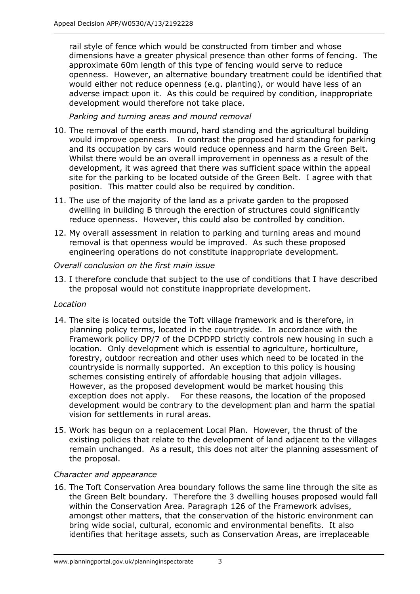rail style of fence which would be constructed from timber and whose dimensions have a greater physical presence than other forms of fencing. The approximate 60m length of this type of fencing would serve to reduce openness. However, an alternative boundary treatment could be identified that would either not reduce openness (e.g. planting), or would have less of an adverse impact upon it. As this could be required by condition, inappropriate development would therefore not take place.

 *Parking and turning areas and mound removal* 

- 10. The removal of the earth mound, hard standing and the agricultural building would improve openness. In contrast the proposed hard standing for parking and its occupation by cars would reduce openness and harm the Green Belt. Whilst there would be an overall improvement in openness as a result of the development, it was agreed that there was sufficient space within the appeal site for the parking to be located outside of the Green Belt. I agree with that position. This matter could also be required by condition.
- 11. The use of the majority of the land as a private garden to the proposed dwelling in building B through the erection of structures could significantly reduce openness. However, this could also be controlled by condition.
- 12. My overall assessment in relation to parking and turning areas and mound removal is that openness would be improved. As such these proposed engineering operations do not constitute inappropriate development.

#### *Overall conclusion on the first main issue*

13. I therefore conclude that subject to the use of conditions that I have described the proposal would not constitute inappropriate development.

#### *Location*

- 14. The site is located outside the Toft village framework and is therefore, in planning policy terms, located in the countryside. In accordance with the Framework policy DP/7 of the DCPDPD strictly controls new housing in such a location. Only development which is essential to agriculture, horticulture, forestry, outdoor recreation and other uses which need to be located in the countryside is normally supported. An exception to this policy is housing schemes consisting entirely of affordable housing that adjoin villages. However, as the proposed development would be market housing this exception does not apply. For these reasons, the location of the proposed development would be contrary to the development plan and harm the spatial vision for settlements in rural areas.
- 15. Work has begun on a replacement Local Plan. However, the thrust of the existing policies that relate to the development of land adjacent to the villages remain unchanged. As a result, this does not alter the planning assessment of the proposal.

#### *Character and appearance*

16. The Toft Conservation Area boundary follows the same line through the site as the Green Belt boundary. Therefore the 3 dwelling houses proposed would fall within the Conservation Area. Paragraph 126 of the Framework advises, amongst other matters, that the conservation of the historic environment can bring wide social, cultural, economic and environmental benefits. It also identifies that heritage assets, such as Conservation Areas, are irreplaceable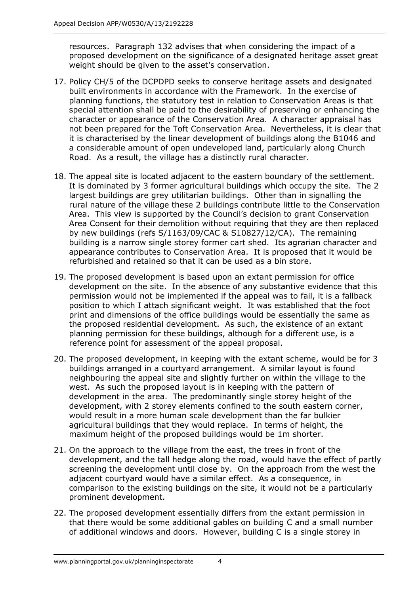resources. Paragraph 132 advises that when considering the impact of a proposed development on the significance of a designated heritage asset great weight should be given to the asset's conservation.

- 17. Policy CH/5 of the DCPDPD seeks to conserve heritage assets and designated built environments in accordance with the Framework. In the exercise of planning functions, the statutory test in relation to Conservation Areas is that special attention shall be paid to the desirability of preserving or enhancing the character or appearance of the Conservation Area. A character appraisal has not been prepared for the Toft Conservation Area. Nevertheless, it is clear that it is characterised by the linear development of buildings along the B1046 and a considerable amount of open undeveloped land, particularly along Church Road. As a result, the village has a distinctly rural character.
- 18. The appeal site is located adjacent to the eastern boundary of the settlement. It is dominated by 3 former agricultural buildings which occupy the site. The 2 largest buildings are grey utilitarian buildings. Other than in signalling the rural nature of the village these 2 buildings contribute little to the Conservation Area. This view is supported by the Council's decision to grant Conservation Area Consent for their demolition without requiring that they are then replaced by new buildings (refs S/1163/09/CAC & S10827/12/CA). The remaining building is a narrow single storey former cart shed. Its agrarian character and appearance contributes to Conservation Area. It is proposed that it would be refurbished and retained so that it can be used as a bin store.
- 19. The proposed development is based upon an extant permission for office development on the site. In the absence of any substantive evidence that this permission would not be implemented if the appeal was to fail, it is a fallback position to which I attach significant weight. It was established that the foot print and dimensions of the office buildings would be essentially the same as the proposed residential development. As such, the existence of an extant planning permission for these buildings, although for a different use, is a reference point for assessment of the appeal proposal.
- 20. The proposed development, in keeping with the extant scheme, would be for 3 buildings arranged in a courtyard arrangement. A similar layout is found neighbouring the appeal site and slightly further on within the village to the west. As such the proposed layout is in keeping with the pattern of development in the area. The predominantly single storey height of the development, with 2 storey elements confined to the south eastern corner, would result in a more human scale development than the far bulkier agricultural buildings that they would replace. In terms of height, the maximum height of the proposed buildings would be 1m shorter.
- 21. On the approach to the village from the east, the trees in front of the development, and the tall hedge along the road, would have the effect of partly screening the development until close by. On the approach from the west the adjacent courtyard would have a similar effect. As a consequence, in comparison to the existing buildings on the site, it would not be a particularly prominent development.
- 22. The proposed development essentially differs from the extant permission in that there would be some additional gables on building C and a small number of additional windows and doors. However, building C is a single storey in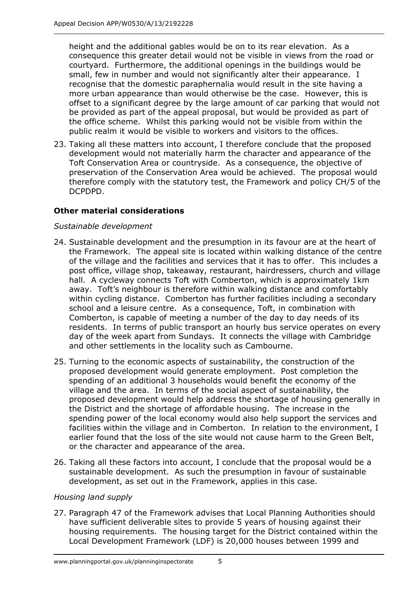height and the additional gables would be on to its rear elevation. As a consequence this greater detail would not be visible in views from the road or courtyard. Furthermore, the additional openings in the buildings would be small, few in number and would not significantly alter their appearance. I recognise that the domestic paraphernalia would result in the site having a more urban appearance than would otherwise be the case. However, this is offset to a significant degree by the large amount of car parking that would not be provided as part of the appeal proposal, but would be provided as part of the office scheme. Whilst this parking would not be visible from within the public realm it would be visible to workers and visitors to the offices.

23. Taking all these matters into account, I therefore conclude that the proposed development would not materially harm the character and appearance of the Toft Conservation Area or countryside. As a consequence, the objective of preservation of the Conservation Area would be achieved. The proposal would therefore comply with the statutory test, the Framework and policy CH/5 of the DCPDPD.

#### **Other material considerations**

#### *Sustainable development*

- 24. Sustainable development and the presumption in its favour are at the heart of the Framework. The appeal site is located within walking distance of the centre of the village and the facilities and services that it has to offer. This includes a post office, village shop, takeaway, restaurant, hairdressers, church and village hall. A cycleway connects Toft with Comberton, which is approximately 1km away. Toft's neighbour is therefore within walking distance and comfortably within cycling distance. Comberton has further facilities including a secondary school and a leisure centre. As a consequence, Toft, in combination with Comberton, is capable of meeting a number of the day to day needs of its residents. In terms of public transport an hourly bus service operates on every day of the week apart from Sundays. It connects the village with Cambridge and other settlements in the locality such as Cambourne.
- 25. Turning to the economic aspects of sustainability, the construction of the proposed development would generate employment. Post completion the spending of an additional 3 households would benefit the economy of the village and the area. In terms of the social aspect of sustainability, the proposed development would help address the shortage of housing generally in the District and the shortage of affordable housing. The increase in the spending power of the local economy would also help support the services and facilities within the village and in Comberton. In relation to the environment, I earlier found that the loss of the site would not cause harm to the Green Belt, or the character and appearance of the area.
- 26. Taking all these factors into account, I conclude that the proposal would be a sustainable development. As such the presumption in favour of sustainable development, as set out in the Framework, applies in this case.

#### *Housing land supply*

27. Paragraph 47 of the Framework advises that Local Planning Authorities should have sufficient deliverable sites to provide 5 years of housing against their housing requirements. The housing target for the District contained within the Local Development Framework (LDF) is 20,000 houses between 1999 and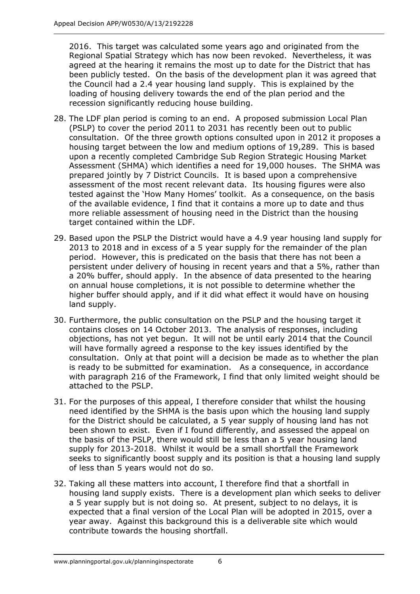2016. This target was calculated some years ago and originated from the Regional Spatial Strategy which has now been revoked. Nevertheless, it was agreed at the hearing it remains the most up to date for the District that has been publicly tested. On the basis of the development plan it was agreed that the Council had a 2.4 year housing land supply. This is explained by the loading of housing delivery towards the end of the plan period and the recession significantly reducing house building.

- 28. The LDF plan period is coming to an end. A proposed submission Local Plan (PSLP) to cover the period 2011 to 2031 has recently been out to public consultation. Of the three growth options consulted upon in 2012 it proposes a housing target between the low and medium options of 19,289. This is based upon a recently completed Cambridge Sub Region Strategic Housing Market Assessment (SHMA) which identifies a need for 19,000 houses. The SHMA was prepared jointly by 7 District Councils. It is based upon a comprehensive assessment of the most recent relevant data. Its housing figures were also tested against the 'How Many Homes' toolkit. As a consequence, on the basis of the available evidence, I find that it contains a more up to date and thus more reliable assessment of housing need in the District than the housing target contained within the LDF.
- 29. Based upon the PSLP the District would have a 4.9 year housing land supply for 2013 to 2018 and in excess of a 5 year supply for the remainder of the plan period. However, this is predicated on the basis that there has not been a persistent under delivery of housing in recent years and that a 5%, rather than a 20% buffer, should apply. In the absence of data presented to the hearing on annual house completions, it is not possible to determine whether the higher buffer should apply, and if it did what effect it would have on housing land supply.
- 30. Furthermore, the public consultation on the PSLP and the housing target it contains closes on 14 October 2013. The analysis of responses, including objections, has not yet begun. It will not be until early 2014 that the Council will have formally agreed a response to the key issues identified by the consultation. Only at that point will a decision be made as to whether the plan is ready to be submitted for examination. As a consequence, in accordance with paragraph 216 of the Framework, I find that only limited weight should be attached to the PSLP.
- 31. For the purposes of this appeal, I therefore consider that whilst the housing need identified by the SHMA is the basis upon which the housing land supply for the District should be calculated, a 5 year supply of housing land has not been shown to exist. Even if I found differently, and assessed the appeal on the basis of the PSLP, there would still be less than a 5 year housing land supply for 2013-2018. Whilst it would be a small shortfall the Framework seeks to significantly boost supply and its position is that a housing land supply of less than 5 years would not do so.
- 32. Taking all these matters into account, I therefore find that a shortfall in housing land supply exists. There is a development plan which seeks to deliver a 5 year supply but is not doing so. At present, subject to no delays, it is expected that a final version of the Local Plan will be adopted in 2015, over a year away. Against this background this is a deliverable site which would contribute towards the housing shortfall.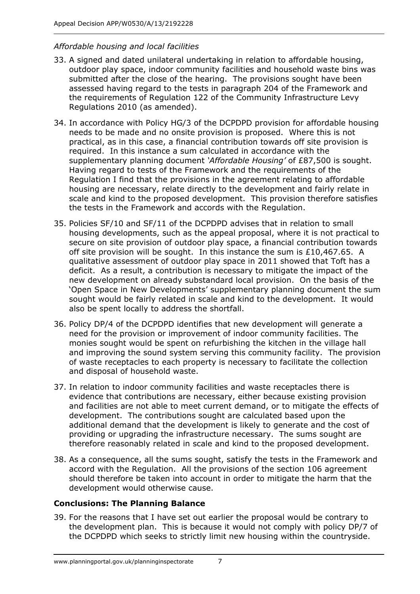#### *Affordable housing and local facilities*

- 33. A signed and dated unilateral undertaking in relation to affordable housing, outdoor play space, indoor community facilities and household waste bins was submitted after the close of the hearing. The provisions sought have been assessed having regard to the tests in paragraph 204 of the Framework and the requirements of Regulation 122 of the Community Infrastructure Levy Regulations 2010 (as amended).
- 34. In accordance with Policy HG/3 of the DCPDPD provision for affordable housing needs to be made and no onsite provision is proposed. Where this is not practical, as in this case, a financial contribution towards off site provision is required. In this instance a sum calculated in accordance with the supplementary planning document *'Affordable Housing'* of £87,500 is sought. Having regard to tests of the Framework and the requirements of the Regulation I find that the provisions in the agreement relating to affordable housing are necessary, relate directly to the development and fairly relate in scale and kind to the proposed development. This provision therefore satisfies the tests in the Framework and accords with the Regulation.
- 35. Policies SF/10 and SF/11 of the DCPDPD advises that in relation to small housing developments, such as the appeal proposal, where it is not practical to secure on site provision of outdoor play space, a financial contribution towards off site provision will be sought. In this instance the sum is £10,467.65. A qualitative assessment of outdoor play space in 2011 showed that Toft has a deficit. As a result, a contribution is necessary to mitigate the impact of the new development on already substandard local provision. On the basis of the 'Open Space in New Developments' supplementary planning document the sum sought would be fairly related in scale and kind to the development. It would also be spent locally to address the shortfall.
- 36. Policy DP/4 of the DCPDPD identifies that new development will generate a need for the provision or improvement of indoor community facilities. The monies sought would be spent on refurbishing the kitchen in the village hall and improving the sound system serving this community facility. The provision of waste receptacles to each property is necessary to facilitate the collection and disposal of household waste.
- 37. In relation to indoor community facilities and waste receptacles there is evidence that contributions are necessary, either because existing provision and facilities are not able to meet current demand, or to mitigate the effects of development. The contributions sought are calculated based upon the additional demand that the development is likely to generate and the cost of providing or upgrading the infrastructure necessary. The sums sought are therefore reasonably related in scale and kind to the proposed development.
- 38. As a consequence, all the sums sought, satisfy the tests in the Framework and accord with the Regulation. All the provisions of the section 106 agreement should therefore be taken into account in order to mitigate the harm that the development would otherwise cause.

#### **Conclusions: The Planning Balance**

39. For the reasons that I have set out earlier the proposal would be contrary to the development plan. This is because it would not comply with policy DP/7 of the DCPDPD which seeks to strictly limit new housing within the countryside.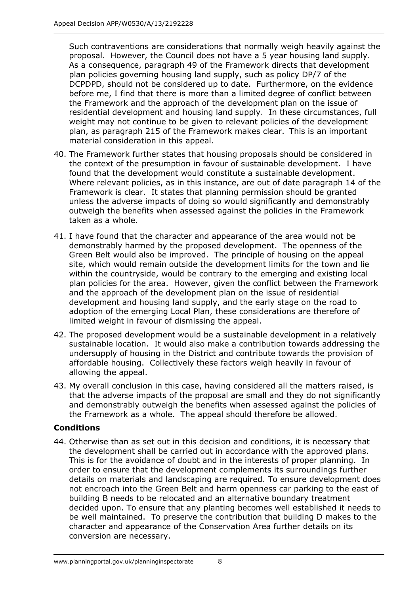Such contraventions are considerations that normally weigh heavily against the proposal. However, the Council does not have a 5 year housing land supply. As a consequence, paragraph 49 of the Framework directs that development plan policies governing housing land supply, such as policy DP/7 of the DCPDPD, should not be considered up to date. Furthermore, on the evidence before me, I find that there is more than a limited degree of conflict between the Framework and the approach of the development plan on the issue of residential development and housing land supply. In these circumstances, full weight may not continue to be given to relevant policies of the development plan, as paragraph 215 of the Framework makes clear. This is an important material consideration in this appeal.

- 40. The Framework further states that housing proposals should be considered in the context of the presumption in favour of sustainable development. I have found that the development would constitute a sustainable development. Where relevant policies, as in this instance, are out of date paragraph 14 of the Framework is clear. It states that planning permission should be granted unless the adverse impacts of doing so would significantly and demonstrably outweigh the benefits when assessed against the policies in the Framework taken as a whole.
- 41. I have found that the character and appearance of the area would not be demonstrably harmed by the proposed development. The openness of the Green Belt would also be improved. The principle of housing on the appeal site, which would remain outside the development limits for the town and lie within the countryside, would be contrary to the emerging and existing local plan policies for the area. However, given the conflict between the Framework and the approach of the development plan on the issue of residential development and housing land supply, and the early stage on the road to adoption of the emerging Local Plan, these considerations are therefore of limited weight in favour of dismissing the appeal.
- 42. The proposed development would be a sustainable development in a relatively sustainable location. It would also make a contribution towards addressing the undersupply of housing in the District and contribute towards the provision of affordable housing. Collectively these factors weigh heavily in favour of allowing the appeal.
- 43. My overall conclusion in this case, having considered all the matters raised, is that the adverse impacts of the proposal are small and they do not significantly and demonstrably outweigh the benefits when assessed against the policies of the Framework as a whole. The appeal should therefore be allowed.

#### **Conditions**

44. Otherwise than as set out in this decision and conditions, it is necessary that the development shall be carried out in accordance with the approved plans. This is for the avoidance of doubt and in the interests of proper planning. In order to ensure that the development complements its surroundings further details on materials and landscaping are required. To ensure development does not encroach into the Green Belt and harm openness car parking to the east of building B needs to be relocated and an alternative boundary treatment decided upon. To ensure that any planting becomes well established it needs to be well maintained. To preserve the contribution that building D makes to the character and appearance of the Conservation Area further details on its conversion are necessary.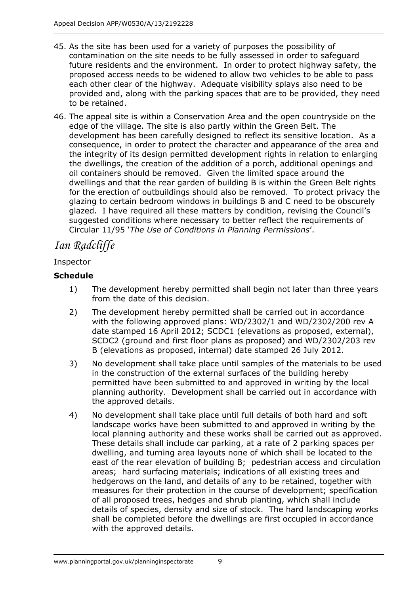- 45. As the site has been used for a variety of purposes the possibility of contamination on the site needs to be fully assessed in order to safeguard future residents and the environment. In order to protect highway safety, the proposed access needs to be widened to allow two vehicles to be able to pass each other clear of the highway. Adequate visibility splays also need to be provided and, along with the parking spaces that are to be provided, they need to be retained.
- 46. The appeal site is within a Conservation Area and the open countryside on the edge of the village. The site is also partly within the Green Belt. The development has been carefully designed to reflect its sensitive location. As a consequence, in order to protect the character and appearance of the area and the integrity of its design permitted development rights in relation to enlarging the dwellings, the creation of the addition of a porch, additional openings and oil containers should be removed. Given the limited space around the dwellings and that the rear garden of building B is within the Green Belt rights for the erection of outbuildings should also be removed. To protect privacy the glazing to certain bedroom windows in buildings B and C need to be obscurely glazed. I have required all these matters by condition, revising the Council's suggested conditions where necessary to better reflect the requirements of Circular 11/95 '*The Use of Conditions in Planning Permissions*'.

## *Ian Radcliffe*

#### Inspector

#### **Schedule**

- 1) The development hereby permitted shall begin not later than three years from the date of this decision.
- 2) The development hereby permitted shall be carried out in accordance with the following approved plans: WD/2302/1 and WD/2302/200 rev A date stamped 16 April 2012; SCDC1 (elevations as proposed, external), SCDC2 (ground and first floor plans as proposed) and WD/2302/203 rev B (elevations as proposed, internal) date stamped 26 July 2012.
- 3) No development shall take place until samples of the materials to be used in the construction of the external surfaces of the building hereby permitted have been submitted to and approved in writing by the local planning authority. Development shall be carried out in accordance with the approved details.
- 4) No development shall take place until full details of both hard and soft landscape works have been submitted to and approved in writing by the local planning authority and these works shall be carried out as approved. These details shall include car parking, at a rate of 2 parking spaces per dwelling, and turning area layouts none of which shall be located to the east of the rear elevation of building B; pedestrian access and circulation areas; hard surfacing materials; indications of all existing trees and hedgerows on the land, and details of any to be retained, together with measures for their protection in the course of development; specification of all proposed trees, hedges and shrub planting, which shall include details of species, density and size of stock. The hard landscaping works shall be completed before the dwellings are first occupied in accordance with the approved details.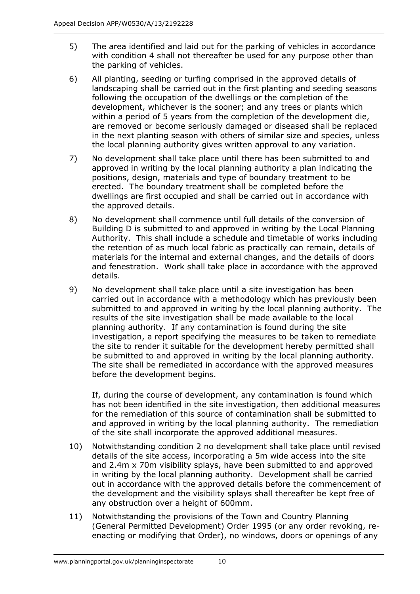- 5) The area identified and laid out for the parking of vehicles in accordance with condition 4 shall not thereafter be used for any purpose other than the parking of vehicles.
- 6) All planting, seeding or turfing comprised in the approved details of landscaping shall be carried out in the first planting and seeding seasons following the occupation of the dwellings or the completion of the development, whichever is the sooner; and any trees or plants which within a period of 5 years from the completion of the development die, are removed or become seriously damaged or diseased shall be replaced in the next planting season with others of similar size and species, unless the local planning authority gives written approval to any variation.
- 7) No development shall take place until there has been submitted to and approved in writing by the local planning authority a plan indicating the positions, design, materials and type of boundary treatment to be erected. The boundary treatment shall be completed before the dwellings are first occupied and shall be carried out in accordance with the approved details.
- 8) No development shall commence until full details of the conversion of Building D is submitted to and approved in writing by the Local Planning Authority. This shall include a schedule and timetable of works including the retention of as much local fabric as practically can remain, details of materials for the internal and external changes, and the details of doors and fenestration. Work shall take place in accordance with the approved details.
- 9) No development shall take place until a site investigation has been carried out in accordance with a methodology which has previously been submitted to and approved in writing by the local planning authority. The results of the site investigation shall be made available to the local planning authority. If any contamination is found during the site investigation, a report specifying the measures to be taken to remediate the site to render it suitable for the development hereby permitted shall be submitted to and approved in writing by the local planning authority. The site shall be remediated in accordance with the approved measures before the development begins.

If, during the course of development, any contamination is found which has not been identified in the site investigation, then additional measures for the remediation of this source of contamination shall be submitted to and approved in writing by the local planning authority. The remediation of the site shall incorporate the approved additional measures.

- 10) Notwithstanding condition 2 no development shall take place until revised details of the site access, incorporating a 5m wide access into the site and 2.4m x 70m visibility splays, have been submitted to and approved in writing by the local planning authority. Development shall be carried out in accordance with the approved details before the commencement of the development and the visibility splays shall thereafter be kept free of any obstruction over a height of 600mm.
- 11) Notwithstanding the provisions of the Town and Country Planning (General Permitted Development) Order 1995 (or any order revoking, reenacting or modifying that Order), no windows, doors or openings of any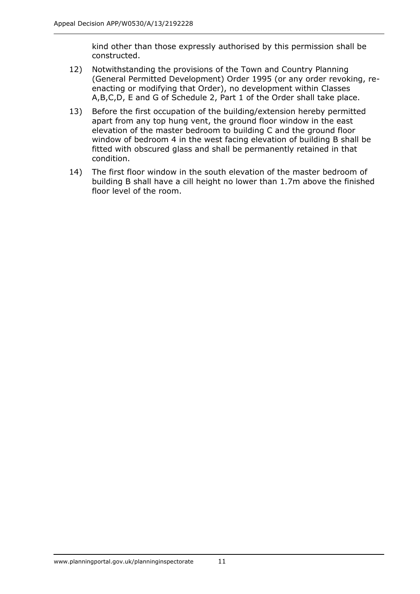kind other than those expressly authorised by this permission shall be constructed.

- 12) Notwithstanding the provisions of the Town and Country Planning (General Permitted Development) Order 1995 (or any order revoking, reenacting or modifying that Order), no development within Classes A,B,C,D, E and G of Schedule 2, Part 1 of the Order shall take place.
- 13) Before the first occupation of the building/extension hereby permitted apart from any top hung vent, the ground floor window in the east elevation of the master bedroom to building C and the ground floor window of bedroom 4 in the west facing elevation of building B shall be fitted with obscured glass and shall be permanently retained in that condition.
- 14) The first floor window in the south elevation of the master bedroom of building B shall have a cill height no lower than 1.7m above the finished floor level of the room.